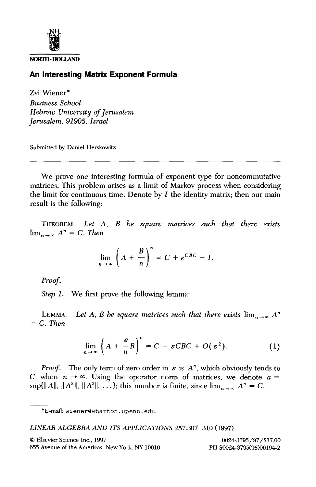

**NOltl~ - ItOIJ.,AND** 

## **An Interesting Matrix Exponent Formula**

Zvi Wiener\* *Business School Hebrew University of Jerusalem Jerusalem, 91905, Israel* 

Submitted by Daniel Herskowitz

We prove one interesting formula of exponent type for noncommutative matrices. This problem arises as a limit of Markov process when considering the limit for continuous time. Denote by  $I$  the identity matrix; then our main result is the following:

THEOREM. *Let A, B be square matrices such that there exists*   $\lim_{n \to \infty} A^n = C$ . Then

$$
\lim_{n \to \infty} \left( A + \frac{B}{n} \right)^n = C + e^{CBC} - I.
$$

*Proof.* 

*Step 1.* We first prove the following lemma:

LEMMA. Let A, B be square matrices such that there exists  $\lim_{n \to \infty} A^n$ *= C. Then* 

$$
\lim_{n \to \infty} \left( A + \frac{\varepsilon}{n} B \right)^n = C + \varepsilon C B C + O(\varepsilon^2). \tag{1}
$$

*Proof.* The only term of zero order in  $\varepsilon$  is  $A^n$ , which obviously tends to C when  $n \to \infty$ . Using the operator norm of matrices, we denote  $a =$  $\sup\{\|A\|, \|A^2\|, \|A^3\|, \ldots\}$ ; this number is finite, since  $\lim_{n \to \infty} A^n = C$ .

## *LINEAR ALGEBRA AND ITS APPLICATIONS* 257:307-310 (1997)

<sup>\*</sup>E-maih wiener@wharton, upenn, edu.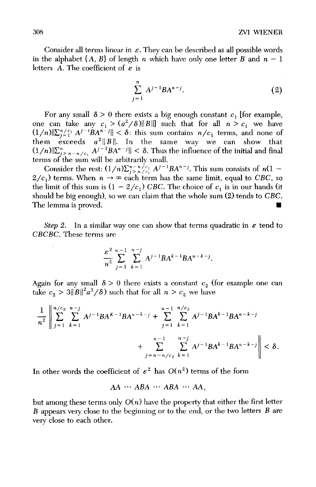Consider all terms linear in  $\varepsilon$ . They can be described as all possible words in the alphabet  $\{A, B\}$  of length n which have only one letter B and  $n-1$ letters A. The coefficient of  $\varepsilon$  is

$$
\sum_{j=1}^{n} A^{j-1} B A^{n-j}.
$$
 (2)

For any small  $\delta > 0$  there exists a big enough constant  $c_1$  [for example, one can take any  $c_1 > (a^2/\delta) \|B\|$  such that for all  $n > c_1$  we have  $(1/n)\|\sum_{i=1}^{n} A^{j-i}BA^{n-j}\| < \delta$ : this sum contains  $n/c_1$  terms, and none of them exceeds  $a^2||B||$ . In the same way we can show that  $(1/n)\|\sum_{j=n-n/c_1}^{n} A^{j-1}BA^{n-j}\| < \delta$ . Thus the influence of the initial and final terms of the sum will be arbitrarily small.

Consider the rest:  $(1/n)\sum_{j>n/2}^{n-n/2} A^{j-1}BA^{n-j}$ . This sum consists of  $n(1 2/c_1$ ) terms. When  $n \to \infty$  each term has the same limit, equal to *CBC*, so the limit of this sum is  $(1 - 2/c_1)$  CBC. The choice of  $c_1$  is in our hands (it should be big enough), so we can claim that the whole sum (2) tends to *CBC.*  The lemma is proved.

*Step 2.* In a similar way one can show that terms quadratic in  $\epsilon$  tend to *CBCBC.* These terms are

$$
\frac{\varepsilon^2}{n^2}\sum_{j=1}^{n-1}\sum_{k=1}^{n-j}A^{j-1}BA^{k-1}BA^{n-k-j}.
$$

Again for any small  $\delta > 0$  there exists a constant  $c_2$  (for example one can take  $c_2 > 3||B||^2 a^3/\delta$  such that for all  $n > c_2$  we have

$$
\frac{1}{n^2} \left\| \sum_{j=1}^{n/c_2} \sum_{k=1}^{n-j} A^{j-1} B A^{k-1} B A^{n-k-j} + \sum_{j=1}^{n-1} \sum_{k=1}^{n/c_2} A^{j-1} B A^{k-1} B A^{n-k-j} + \sum_{j=n-n/c_2}^{n-1} \sum_{k=1}^{n-j} A^{j-1} B A^{k-1} B A^{n-k-j} \right\| < \delta.
$$

In other words the coefficient of  $\varepsilon^2$  has  $O(n^2)$  terms of the form

*AA*  $\cdots$  *ABA*  $\cdots$  *ABA*  $\cdots$  *AA*.

but among these terms only *O(n)* have the property that either the first letter B appears very close to the beginning or to the end, or the two letters B are very close to each other.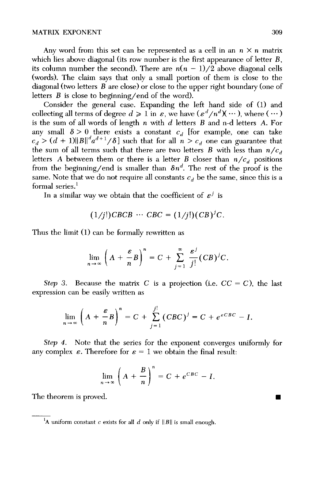Any word from this set can be represented as a cell in an  $n \times n$  matrix which lies above diagonal (its row number is the first appearance of letter  $B$ , its column number the second). There are  $n(n-1)/2$  above diagonal cells (words). The claim says that only a small portion of them is close to the diagonal (two letters B are close) or close to the upper right boundary (one of letters  $B$  is close to beginning/end of the word).

Consider the general case. Expanding the left hand side of (1) and collecting all terms of degree  $d \geq 1$  in  $\varepsilon$ , we have  $(\varepsilon^d/n^d)(\cdots)$ , where  $(\cdots)$ is the sum of all words of length  $n$  with  $d$  letters  $B$  and n-d letters  $A$ . For any small  $\delta > 0$  there exists a constant  $c_d$  [for example, one can take  $c_d > (d + 1) \|B\|^{\alpha} a^{a+1} / \delta$  with that for all  $n > c_d$  one can guarantee that the sum of all terms such that there are two letters  $B$  with less than  $n/c_d$ letters A between them or there is a letter B closer than  $n/c_d$  positions from the beginning/end is smaller than  $\delta n^d$ . The rest of the proof is the same. Note that we do not require all constants  $c_d$  be the same, since this is a formal series. $1$ 

In a similar way we obtain that the coefficient of  $\varepsilon^j$  is

$$
(1/j!)CBCB \cdots CBC = (1/j!) (CB)^{j}C.
$$

Thus the limit (1) can be formally rewritten as

$$
\lim_{n\to\infty}\left(A+\frac{\varepsilon}{n}B\right)^n=C+\sum_{j=1}^{\infty}\frac{\varepsilon^j}{j!}(CB)^jC.
$$

*Step 3.* Because the matrix C is a projection (i.e.  $CC = C$ ), the last expression can be easily written as

$$
\lim_{n\to\infty}\left(A+\frac{\varepsilon}{n}B\right)^n=C+\sum_{j=1}^j\left(CBC\right)^j=C+e^{\varepsilon CEC}-I.
$$

*Step 4.* Note that the series for the exponent converges uniformly for any complex  $\varepsilon$ . Therefore for  $\varepsilon = 1$  we obtain the final result:

$$
\lim_{n \to \infty} \left( A + \frac{B}{n} \right)^n = C + e^{CBC} - I.
$$

The theorem is proved.

 $\blacksquare$ 

<sup>&</sup>lt;sup>1</sup>A uniform constant c exists for all  $d$  only if  $||B||$  is small enough.